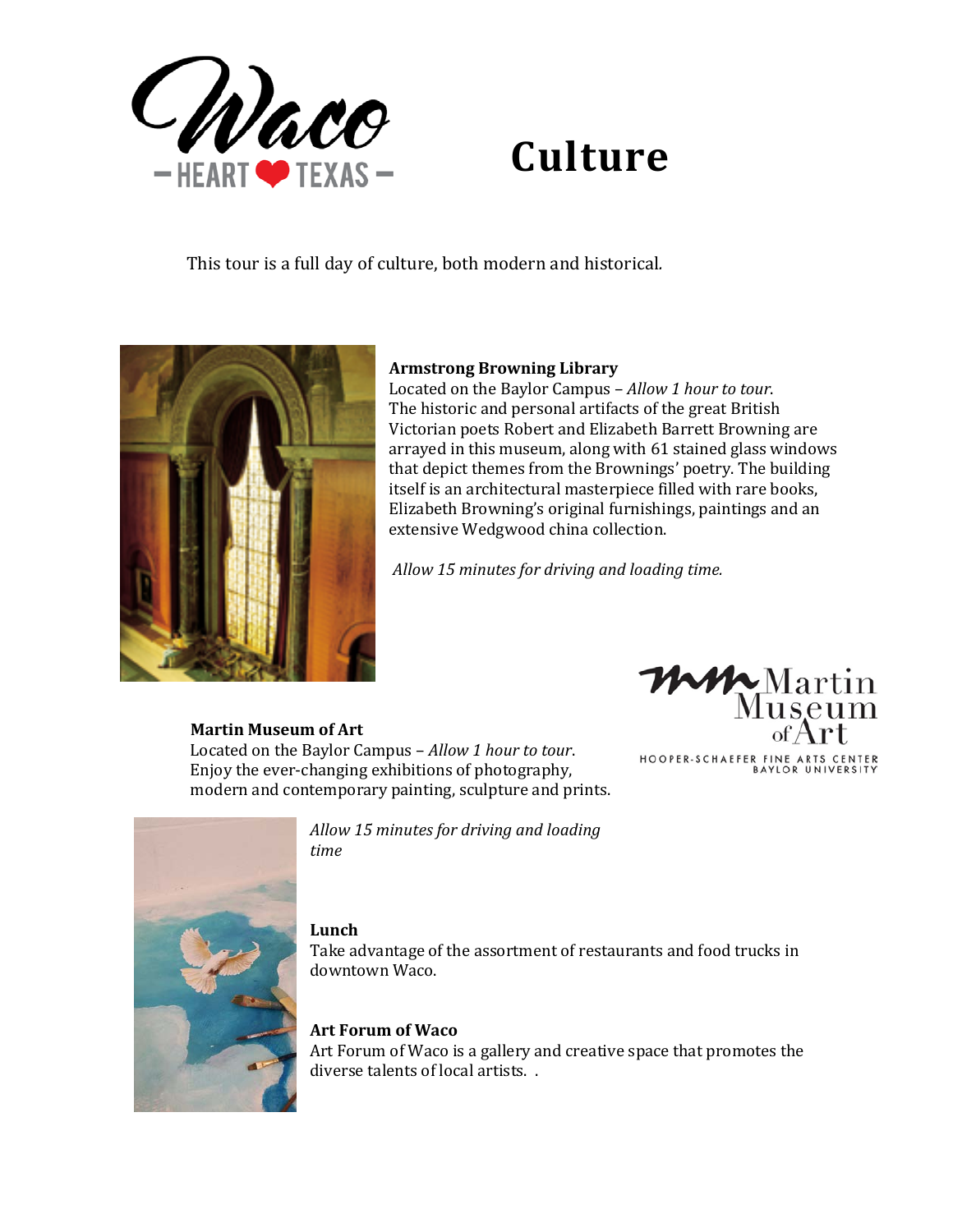

# **Culture**

This tour is a full day of culture, both modern and historical*.*



## **Armstrong Browning Library**

Located on the Baylor Campus – *Allow 1 hour to tour*. The historic and personal artifacts of the great British Victorian poets Robert and Elizabeth Barrett Browning are arrayed in this museum, along with 61 stained glass windows that depict themes from the Brownings' poetry. The building itself is an architectural masterpiece filled with rare books, Elizabeth Browning's original furnishings, paintings and an extensive Wedgwood china collection.

*Allow 15 minutes for driving and loading time.*

#### **Martin Museum of Art**

Located on the Baylor Campus – *Allow 1 hour to tour*. Enjoy the ever-changing exhibitions of photography, modern and contemporary painting, sculpture and prints.





*Allow 15 minutes for driving and loading time*

### **Lunch**

Take advantage of the assortment of restaurants and food trucks in downtown Waco.

## **Art Forum of Waco**

Art Forum of Waco is a gallery and creative space that promotes the diverse talents of local artists. .